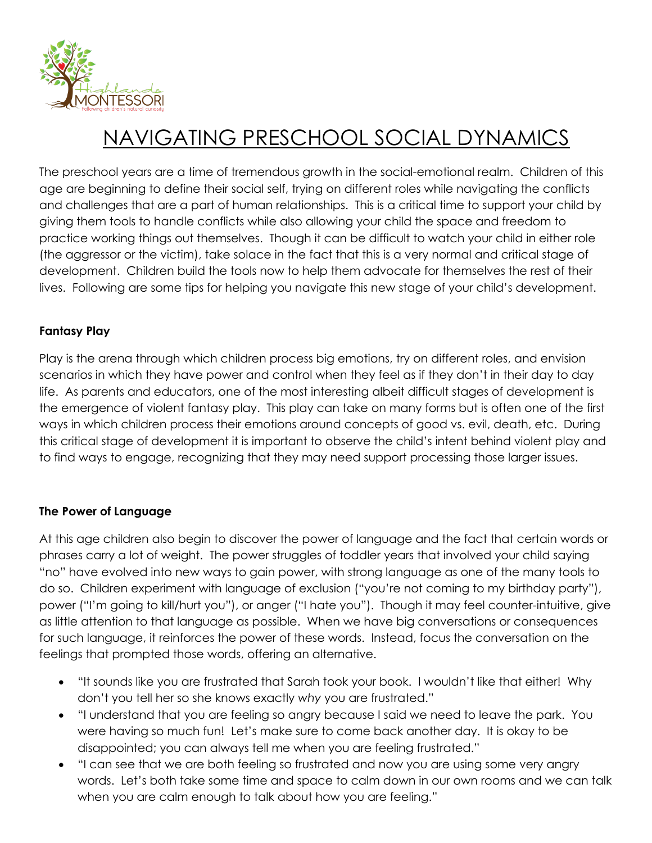

# NAVIGATING PRESCHOOL SOCIAL DYNAMICS

The preschool years are a time of tremendous growth in the social-emotional realm. Children of this age are beginning to define their social self, trying on different roles while navigating the conflicts and challenges that are a part of human relationships. This is a critical time to support your child by giving them tools to handle conflicts while also allowing your child the space and freedom to practice working things out themselves. Though it can be difficult to watch your child in either role (the aggressor or the victim), take solace in the fact that this is a very normal and critical stage of development. Children build the tools now to help them advocate for themselves the rest of their lives. Following are some tips for helping you navigate this new stage of your child's development.

#### **Fantasy Play**

Play is the arena through which children process big emotions, try on different roles, and envision scenarios in which they have power and control when they feel as if they don't in their day to day life. As parents and educators, one of the most interesting albeit difficult stages of development is the emergence of violent fantasy play. This play can take on many forms but is often one of the first ways in which children process their emotions around concepts of good vs. evil, death, etc. During this critical stage of development it is important to observe the child's intent behind violent play and to find ways to engage, recognizing that they may need support processing those larger issues.

#### **The Power of Language**

At this age children also begin to discover the power of language and the fact that certain words or phrases carry a lot of weight. The power struggles of toddler years that involved your child saying "no" have evolved into new ways to gain power, with strong language as one of the many tools to do so. Children experiment with language of exclusion ("you're not coming to my birthday party"), power ("I'm going to kill/hurt you"), or anger ("I hate you"). Though it may feel counter-intuitive, give as little attention to that language as possible. When we have big conversations or consequences for such language, it reinforces the power of these words. Instead, focus the conversation on the feelings that prompted those words, offering an alternative.

- "It sounds like you are frustrated that Sarah took your book. I wouldn't like that either! Why don't you tell her so she knows exactly *why* you are frustrated."
- "I understand that you are feeling so angry because I said we need to leave the park. You were having so much fun! Let's make sure to come back another day. It is okay to be disappointed; you can always tell me when you are feeling frustrated."
- "I can see that we are both feeling so frustrated and now you are using some very angry words. Let's both take some time and space to calm down in our own rooms and we can talk when you are calm enough to talk about how you are feeling."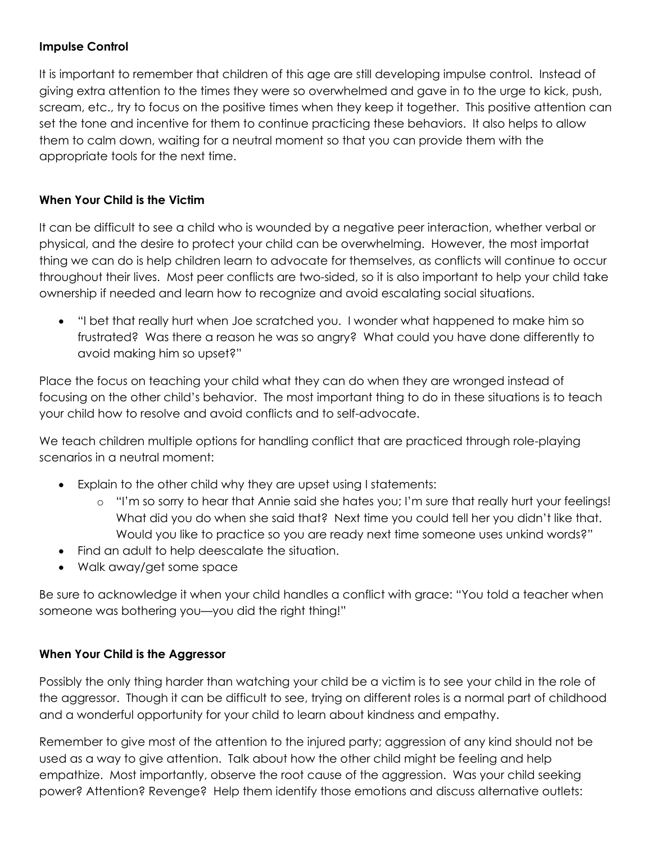## **Impulse Control**

It is important to remember that children of this age are still developing impulse control. Instead of giving extra attention to the times they were so overwhelmed and gave in to the urge to kick, push, scream, etc., try to focus on the positive times when they keep it together. This positive attention can set the tone and incentive for them to continue practicing these behaviors. It also helps to allow them to calm down, waiting for a neutral moment so that you can provide them with the appropriate tools for the next time.

### **When Your Child is the Victim**

It can be difficult to see a child who is wounded by a negative peer interaction, whether verbal or physical, and the desire to protect your child can be overwhelming. However, the most importat thing we can do is help children learn to advocate for themselves, as conflicts will continue to occur throughout their lives. Most peer conflicts are two-sided, so it is also important to help your child take ownership if needed and learn how to recognize and avoid escalating social situations.

• "I bet that really hurt when Joe scratched you. I wonder what happened to make him so frustrated? Was there a reason he was so angry? What could you have done differently to avoid making him so upset?"

Place the focus on teaching your child what they can do when they are wronged instead of focusing on the other child's behavior. The most important thing to do in these situations is to teach your child how to resolve and avoid conflicts and to self-advocate.

We teach children multiple options for handling conflict that are practiced through role-playing scenarios in a neutral moment:

- Explain to the other child why they are upset using I statements:
	- o "I'm so sorry to hear that Annie said she hates you; I'm sure that really hurt your feelings! What did you do when she said that? Next time you could tell her you didn't like that. Would you like to practice so you are ready next time someone uses unkind words?"
- Find an adult to help deescalate the situation.
- Walk away/get some space

Be sure to acknowledge it when your child handles a conflict with grace: "You told a teacher when someone was bothering you—you did the right thing!"

## **When Your Child is the Aggressor**

Possibly the only thing harder than watching your child be a victim is to see your child in the role of the aggressor. Though it can be difficult to see, trying on different roles is a normal part of childhood and a wonderful opportunity for your child to learn about kindness and empathy.

Remember to give most of the attention to the injured party; aggression of any kind should not be used as a way to give attention. Talk about how the other child might be feeling and help empathize. Most importantly, observe the root cause of the aggression. Was your child seeking power? Attention? Revenge? Help them identify those emotions and discuss alternative outlets: